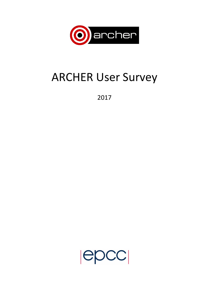

# **ARCHER User Survey**

2017

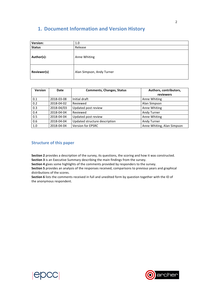# **1. Document Information and Version History**

| Version:      | 1.0                       |
|---------------|---------------------------|
| <b>Status</b> | Release                   |
| Author(s):    | Anne Whiting              |
| Reviewer(s)   | Alan Simpson, Andy Turner |

| <b>Version</b> | Date       | <b>Comments, Changes, Status</b> | Authors, contributors,<br>reviewers |
|----------------|------------|----------------------------------|-------------------------------------|
| 0.1            | 2018-03-08 | Initial draft                    | Anne Whiting                        |
| 0.2            | 2018-04-02 | Reviewed                         | Alan Simpson                        |
| 0.3            | 2018-04/03 | Updated post review              | Anne Whiting                        |
| 0.4            | 2018-04-04 | Reviewed                         | Andy Turner                         |
| 0.5            | 2018-04-04 | Updated post review              | Anne Whiting                        |
| 0.6            | 2018-04-04 | Updated structure description    | Andy Turner                         |
| 1.0            | 2018-04-04 | <b>Version for EPSRC</b>         | Anne Whiting, Alan Simpson          |

### **Structure of this paper**

Section 2 provides a description of the survey, its questions, the scoring and how it was constructed. **Section 3** is an Executive Summary describing the main findings from the survey.

**Section 4** gives some highlights of the comments provided by responders to the survey.

**Section 5** provides an analysis of the responses received, comparisons to previous years and graphical distributions of the scores.

Section 6 lists the comments received in full and unedited form by question together with the ID of the anonymous respondent.



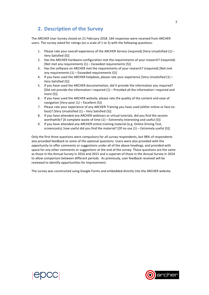## **2. Description of the Survey**

The ARCHER User Survey closed on 21 February 2018. 164 responses were received from ARCHER users. The survey asked for ratings (on a scale of  $1$  to 5) with the following questions:

- 1. Please rate your overall experience of the ARCHER Service (required) [Very Unsatisfied  $(1)$  Very Satisfied (5)]
- 2. Has the ARCHER hardware configuration met the requirements of your research? (required) [Not met any requirements  $(1)$  – Exceeded requirements  $(5)$ ]
- 3. Has the software on ARCHER met the requirements of your research? (required) [Not met any requirements  $(1)$  – Exceeded requirements  $(5)$ ]
- 4. If you have used the ARCHER helpdesk, please rate your experience [Very Unsatisfied  $(1)$  Very Satisfied (5)]
- 5. If you have used the ARCHER documentation, did it provide the information you required? [Did not provide the information I required  $(1)$  – Provided all the information I required and more (5)]
- 6. If you have used the ARCHER website, please rate the quality of the content and ease of navigation [Very poor  $(1)$  – Excellent  $(5)$ ]
- 7. Please rate your experience of any ARCHER Training you have used (either online or face-toface)? [Very Unsatisfied  $(1)$  – Very Satisfied  $(5)$ ]
- 8. If you have attended any ARCHER webinars or virtual tutorials, did you find the session worthwhile? [A complete waste of time  $(1)$  – Extremely interesting and useful (5)]
- 9. If you have attended any ARCHER online training material (e.g. Online Driving Test, screencasts), how useful did you find the material? [Of no use  $(1)$  – Extremely useful (5)]

Only the first three questions were compulsory for all survey respondents, but 98% of respondents also provided feedback to some of the optional questions. Users were also provided with the opportunity to offer comments or suggestions under all of the above headings, and provided with space for any other comments or suggestions at the end of the survey. These questions are the same as those in the Annual Survey in 2016 and 2015 and a superset of those in the Annual Survey in 2014 to allow comparison between different periods. As previously, user feedback received will be reviewed to identify opportunities for improvement.

The survey was constructed using Google Forms and embedded directly into the ARCHER website.



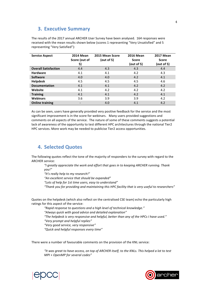## **3. Executive Summary**

The results of the 2017 annual ARCHER User Survey have been analysed. 164 responses were received with the mean results shown below (scores 1 representing "Very Unsatisfied" and 5 representing "Very Satisfied"):

| <b>Service Aspect</b>       | <b>2014 Mean</b> | 2015 Mean Score | <b>2016 Mean</b> | <b>2017 Mean</b> |
|-----------------------------|------------------|-----------------|------------------|------------------|
|                             | Score (out of    | (out of 5)      | <b>Score</b>     | <b>Score</b>     |
|                             | 5)               |                 | (out of 5)       | (out of 5)       |
| <b>Overall Satisfaction</b> | 4.4              | 4.3             | 4.3              | 4.4              |
| <b>Hardware</b>             | 4.1              | 4.1             | 4.2              | 4.3              |
| <b>Software</b>             | 4.0              | 4.0             | 4.2              | 4.1              |
| <b>Helpdesk</b>             | 4.5              | 4.5             | 4.5              | 4.6              |
| <b>Documentation</b>        | 4.1              | 4.1             | 4.2              | 4.2              |
| Website                     | 4.1              | 4.2             | 4.2              | 4.2              |
| <b>Training</b>             | 4.1              | 4.1             | 4.2              | 4.1              |
| <b>Webinars</b>             | 3.6              | 3.9             | 3.9              | 4.2              |
| <b>Online training</b>      |                  | 4.0             | 4.1              | 4.2              |

As can be seen, users have generally provided very positive feedback for the service and the most significant improvement is in the score for webinars. Many users provided suggestions and comments on all aspects of the service. The nature of some of these comments suggests a potential lack of awareness of the opportunity to test different HPC architectures through the national Tier2 HPC services. More work may be needed to publicise Tier2 access opportunities.

## **4. Selected Quotes**

The following quotes reflect the tone of the majority of responders to the survey with regard to the **ARCHER** service:

"I greatly appreciate the work and effort that goes in to keeping ARCHER running. Thank *you!"*

*"It's really help to my research!"*

"An excellent service that should be expanded"

*"Lots of help for 1st time users, easy to understand"*

*"Thank you for providing and maintaining this HPC facility that is very useful to researchers"*

Quotes on the helpdesk (which also reflect on the centralised CSE team) echo the particularly high ratings for this aspect of the service:

*"Rapid response to questions and a high level of technical knowledge."*

*"Always quick with good advice and detailed explanation"*

"The helpdesk is very responsive and helpful, better than any of the HPCs I have used."

*"Very prompt and helpful replies"*

*"Very good service, very responsive"*

*"Quick and helpful responses every time"*

There were a number of favourable comments on the provision of the KNL service:

"It was great to have access, on top of ARCHER itself, to the KNLs. This helped a lot to test *MPI* + *OpenMP* for several codes"



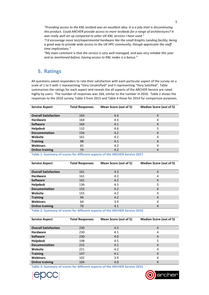"Providing access to the KNL testbed was an excellent idea. It is a pity Intel is discontinuing this product. Could ARCHER provide access to more testbeds for a range of architectures? It was really well set up compared to other UK KNL services I have used."

"I'd encourage more test/experimental hardware like the small Knights Landing facility, being *a* good way to provide wide access to the UK HPC community, though appreciate the staff *time implications."*

*"My main comment is that the service is very well managed, and was very reliable this year*  and as mentioned before, having access to KNL nodes is a bonus."

## **5. Ratings**

All questions asked responders to rate their satisfaction with each particular aspect of the survey on a scale of 1 to 5 with 1 representing "Very Unsatisfied" and 5 representing "Very Satisfied". Table summarises the ratings for each aspect and reveals the all aspects of the ARCHER Service are rated highly by users. The number of responses was 164, similar to the number in 2016. Table 2 shows the responses to the 2016 survey. Table 3 from 2015 and Table 4 those for 2014 for comparison purposes.

| <b>Service Aspect</b>       | <b>Total Responses</b> | Mean Score (out of 5) | Median Score (out of 5) |
|-----------------------------|------------------------|-----------------------|-------------------------|
|                             |                        |                       |                         |
| <b>Overall Satisfaction</b> | 164                    | 4.4                   | 4                       |
| <b>Hardware</b>             | 164                    | 4.3                   | 4                       |
| <b>Software</b>             | 164                    | 4.1                   | 4                       |
| <b>Helpdesk</b>             | 132                    | 4.6                   | 5                       |
| <b>Documentation</b>        | 156                    | 4.2                   | $\overline{4}$          |
| Website                     | 161                    | 4.2                   | 4                       |
| <b>Training</b>             | 98                     | 4.1                   | $\overline{4}$          |
| <b>Webinars</b>             | 65                     | 4.2                   | 4                       |
| <b>Online training</b>      | 74                     | 4.2                   | $\overline{4}$          |

Table 1: Summary of scores for different aspects of the ARCHER Service 2017

| <b>Service Aspect</b>       | <b>Total Responses</b> | Mean Score (out of 5)<br><b>Median Score (out of 5)</b> |                |
|-----------------------------|------------------------|---------------------------------------------------------|----------------|
|                             |                        |                                                         |                |
| <b>Overall Satisfaction</b> | 161                    | 4.3                                                     | 4              |
| <b>Hardware</b>             | 161                    | 4.2                                                     | 4              |
| <b>Software</b>             | 161                    | 4.2                                                     | $\overline{4}$ |
| <b>Helpdesk</b>             | 136                    | 4.5                                                     | 5              |
| <b>Documentation</b>        | 152                    | 4.2                                                     | $\overline{4}$ |
| Website                     | 155                    | 4.2                                                     | 4              |
| <b>Training</b>             | 94                     | 4.2                                                     | $\overline{4}$ |
| <b>Webinars</b>             | 64                     | 3.9                                                     | 4              |
| <b>Online training</b>      | 70                     | 4.1                                                     | 4              |
|                             |                        |                                                         |                |

Table 2: Summary of scores for different aspects of the ARCHER Service 2016

| <b>Service Aspect</b>       | <b>Total Responses</b> | Mean Score (out of 5) | <b>Median Score (out of 5)</b> |
|-----------------------------|------------------------|-----------------------|--------------------------------|
|                             |                        |                       |                                |
| <b>Overall Satisfaction</b> | 230                    | 4.3                   | 4                              |
| <b>Hardware</b>             | 230                    | 4.1                   | 4                              |
| <b>Software</b>             | 230                    | 4.0                   | 4                              |
| <b>Helpdesk</b>             | 198                    | 4.5                   | 5                              |
| <b>Documentation</b>        | 215                    | 4.1                   | 4                              |
| Website                     | 221                    | 4.2                   | 4                              |
| <b>Training</b>             | 147                    | 4.1                   | $\overline{4}$                 |
| <b>Webinars</b>             | 102                    | 3.9                   | 4                              |
| <b>Online training</b>      | 104                    | 4.0                   | 4                              |

**Table 3: Summary of scores for different aspects of the ARCHER Service 2015** 



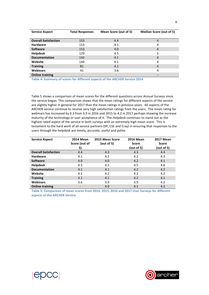| <b>Service Aspect</b>       | <b>Total Responses</b> | Mean Score (out of 5) | <b>Median Score (out of 5)</b> |
|-----------------------------|------------------------|-----------------------|--------------------------------|
| <b>Overall Satisfaction</b> | 153                    | 4.4                   | 4                              |
| <b>Hardware</b>             | 153                    | 4.1                   | 4                              |
| <b>Software</b>             | 153                    | 4.0                   | 4                              |
| <b>Helpdesk</b>             | 129                    | 4.5                   | 5                              |
| <b>Documentation</b>        | 142                    | 4.1                   | 4                              |
| Website                     | 144                    | 4.1                   | 4                              |
| <b>Training</b>             | 81                     | 4.1                   | 4                              |
| <b>Webinars</b>             | 41                     | 3.6                   | 4                              |
| <b>Online training</b>      |                        |                       |                                |

Table 4: Summary of scores for different aspects of the ARCHER Service 2014

Table 5 shows a comparison of mean scores for the different questions across Annual Surveys since the service began. This comparison shows that the mean ratings for different aspects of the service are slightly higher in general for 2017 than the mean ratings in previous years. All aspects of the ARCHER service continue to receive very high satisfaction ratings from the users. The mean rating for webinars has increased by 0.3 from 3.9 in 2016 and 2015 to 4.2 in 2017 perhaps showing the increase maturity of the technology or user acceptance of it. The Helpdesk continues to stand out as the highest rated aspect of the service in both surveys with an extremely high mean score. This is testament to the hard work of all service partners (SP, CSE and Cray) in ensuring that responses to the users through the helpdesk are timely, accurate, useful and polite.

| <b>Service Aspect</b>       | <b>2014 Mean</b>         | 2015 Mean Score | <b>2016 Mean</b> | <b>2017 Mean</b> |
|-----------------------------|--------------------------|-----------------|------------------|------------------|
|                             | Score (out of            | (out of 5)      | <b>Score</b>     | <b>Score</b>     |
|                             | 5)                       |                 | (out of 5)       | (out of 5)       |
| <b>Overall Satisfaction</b> | 4.4                      | 4.3             | 4.3              | 4.4              |
| <b>Hardware</b>             | 4.1                      | 4.1             | 4.2              | 4.3              |
| <b>Software</b>             | 4.0                      | 4.0             | 4.2              | 4.1              |
| <b>Helpdesk</b>             | 4.5                      | 4.5             | 4.5              | 4.6              |
| <b>Documentation</b>        | 4.1                      | 4.1             | 4.2              | 4.2              |
| Website                     | 4.1                      | 4.2             | 4.2              | 4.2              |
| <b>Training</b>             | 4.1                      | 4.1             | 4.2              | 4.1              |
| <b>Webinars</b>             | 3.6                      | 3.9             | 3.9              | 4.2              |
| <b>Online training</b>      | $\overline{\phantom{a}}$ | 4.0             | 4.1              | 4.2              |

Table 5: Comparison of mean scores from 2014, 2015, 2016 and 2017 User Surveys for different **aspects of the ARCHER Service**

**ADCC** 

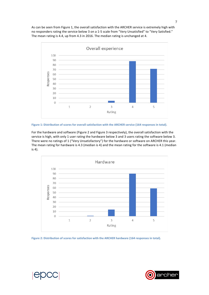As can be seen from Figure 1, the overall satisfaction with the ARCHER service is extremely high with no responders rating the service below 3 on a 1-5 scale from "Very Unsatisfied" to "Very Satisfied." The mean rating is 4.4, up from 4.3 in 2016. The median rating is unchanged at 4.



Figure 1: Distribution of scores for overall satisfaction with the ARCHER service (164 responses in total).

For the hardware and software (Figure 2 and Figure 3 respectively), the overall satisfaction with the service is high, with only 1 user rating the hardware below 3 and 3 users rating the software below 3. There were no ratings of 1 ("Very Unsatisfactory") for the hardware or software on ARCHER this year. The mean rating for hardware is 4.3 (median is 4) and the mean rating for the software is 4.1 (median  $is  $4$ .$ 



Figure 2: Distribution of scores for satisfaction with the ARCHER hardware (164 responses in total).

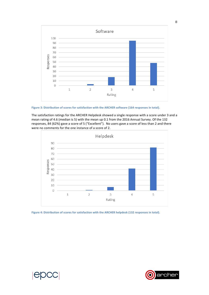

Figure 3: Distribution of scores for satisfaction with the ARCHER software (164 responses in total).

The satisfaction ratings for the ARCHER Helpdesk showed a single response with a score under 3 and a mean rating of 4.6 (median is 5) with the mean up 0.1 from the 2016 Annual Survey. Of the 132 responses, 84 (62%) gave a score of 5 ("Excellent"). No users gave a score of less than 2 and there were no comments for the one instance of a score of 2.



Figure 4: Distribution of scores for satisfaction with the ARCHER helpdesk (132 responses in total).



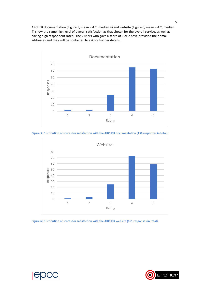ARCHER documentation (Figure 5, mean = 4.2, median 4) and website (Figure 6, mean = 4.2, median 4) show the same high level of overall satisfaction as that shown for the overall service, as well as having high respondent rates. The 2 users who gave a score of 1 or 2 have provided their email addresses and they will be contacted to ask for further details.



Figure 5: Distribution of scores for satisfaction with the ARCHER documentation (156 responses in total).



Figure 6: Distribution of scores for satisfaction with the ARCHER website (161 responses in total).

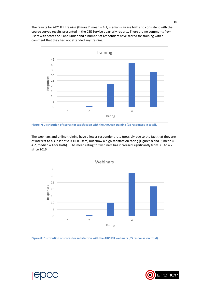The results for ARCHER training (Figure 7, mean =  $4.1$ , median =  $4$ ) are high and consistent with the course survey results presented in the CSE Service quarterly reports. There are no comments from users with scores of 3 and under and a number of responders have scored for training with a comment that they had not attended any training.



Figure 7: Distribution of scores for satisfaction with the ARCHER training (98 responses in total).

The webinars and online training have a lower respondent rate (possibly due to the fact that they are of interest to a subset of ARCHER users) but show a high satisfaction rating (Figures 8 and 9, mean = 4.2, median = 4 for both). The mean rating for webinars has increased significantly from 3.9 to 4.2 since 2016.



Figure 8: Distribution of scores for satisfaction with the ARCHER webinars (65 responses in total).



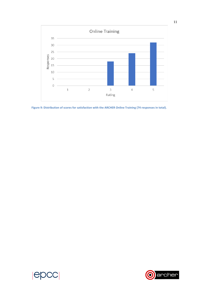

Figure 9: Distribution of scores for satisfaction with the ARCHER Online Training (74 responses in total).



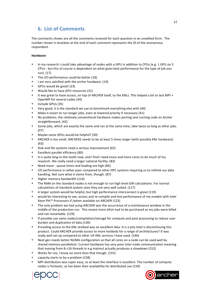## **6. List of Comments**

The comments shown are all the comments received for each question in an unedited form. The number shown in brackets at the end of each comment represents the ID of the anonymous respondent.

#### **Hardware**

- In my research I could take advantage of nodes with a GPU in addition to CPUs (e.g. 1 GPU on 5 CPUs - but this of course is dependent on what gives best performance for the type of job you run). (17)
- The I/O performance could be better (18)
- I am very satisfied with the archer hardware. (19)
- GPUs would be good! (23)
- Would like to have GPU resources (31)
- It was great to have access, on top of ARCHER itself, to the KNLs. This helped a lot to test MPI + OpenMP for several codes (34)
- Include GPUs (35)
- Very good, it is the standard we use to benchmark everything else with (40)
- Make it easier to run longer jobs, even at lowered priority if necessary (41)
- No problems; the relatively conventional hardware makes porting and running code on Archer straightforward. (42)
- Some jobs, which are exactly the same and run at the same time, take twice as long as other jobs. (47)
- Maybe some GPUs would be helpful? (50)
- ARCHER is too small. ARCHER2 needs to be at least 5 times larger (with possibly KNL hardware) (63)
- Disk and file systems need a serious improvement (65)
- Excellent parallel efficiency (80)
- It is quite long-in-the-tooth now, and I find I need more and more cores to do much of my research. We really need a larger national facility. (83)
- Need more queue times and loading are high (84)
- I/O performance is rather poor compared to other HPC systems requiring us to rethink our data handling. Not sure what it stems from, though. (87)
- Higher memory bandwidth (114)
- The RAM on the standard nodes is not enough to run high level GW calculations. For normal calculations of standard system sizes they are very well suited. (117)
- A larger system would be helpful, but high performance interconnect is great (119)
- would be interesting to see, access and re-compile and test performance of my models with Intel Xeon Phi™ Processors if /when available on ARCHER (123)
- The only problem we had using ARCHER was the occurrence of a maintenance window in the middle of the production run. This meant more kAUs had to be purchased as my jobs were killed and not restartable. (129)
- If possible use same nodes/compilation/storage for compute and post processing to reduce user burden and duplication of data (130)
- Providing access to the KNL testbed was an excellent idea. It is a pity Intel is discontinuing this product. Could ARCHER provide access to more testbeds for a range of architectures? It was really well set up compared to other UK KNL services I have used. (146)
- Next gen needs better NUMA configuration so that all cores on a node can be used well by shared memory parallelism. Current hardware has very poor inter-node communication meaning that moving from 8->16 threads in e.g matmul actually produces a slowdown (152)
- Works for me, I know no more than that though. (155)
- capacity starts to be a problem (158)
- MPI distribution was super easy, so at least the interface is excellent. The number of compute nodes is fantastic, as has been their availability for distributed use (159)



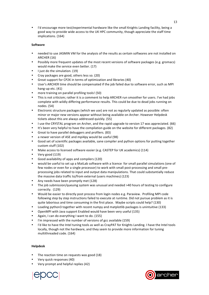I'd encourage more test/experimental hardware like the small Knights Landing facility, being a good way to provide wide access to the UK HPC community, though appreciate the staff time implications. (164)

#### **Software**

- needed to use JASMIN VM for the analysis of the results as certain softwares are not installed on ARCHER (16)
- Possibly more frequent updates of the most recent versions of software packages (e.g. gromacs) would make the service even better. (17)
- I just do the simulation. (19)
- Cray packages are good, others less so. (20)
- Great support for CP2K in terms of optimization and libraries (40)
- User's ARCHER time should be compensated if the job failed due to software error, such as MPI hang-up etc. (41)
- more training on parallel profiling tools! (50)
- This is not criticism; rather it is a comment to help ARCHER run smoother for users. I've had jobs complete with wildly differing performance results. This could be due to dead jobs running on nodes. (54)
- Electronic structure packages (which we use) are not as regularly updated as possible: often minor or major new versions appear without being available on Archer. However Helpdesk tickets about this are always addressed quickly. (55)
- I use the CRYSTAL program on Archer, and the rapid upgrade to version 17 was appreciated. (66)
- It's been very helpful to have the compilation guide on the website for different packages. (82)
- Great to have parallel debuggers and profilers. (83)
- a newer version of ASE and mpi4py would be useful (98)
- Good set of scientific packages available, sane compiler and python options for putting together custom stuff (102)
- Make access to licensed software easier (e.g. CASTEP for UK academics) (114)
- Very good (119)
- Good availability of apps and compilers (120)
- would be useful to set up a MatLab software with a licence for small parallel simulations (one of few nodes or even for a single processor) to work with small post-processing and small preprocessing jobs related to input and output data manipulations. That could substantially reduce the massive data traffic to/from external (users machines) (123)
- Any needs have been promptly met (128)
- The job submission/queuing system was unusual and needed >40 hours of testing to configure correctly. (129)
- Would be easier to directly post process from login nodes e.g. Paraview. Profiling MPI code following step by step instructions failed to execute at runtime. Did not pursue problem as it is quite laborious and time consuming in the first place. Maybe scripts could help? (130)
- Loading python3 together with recent numpy and matplotlib packages is unintuitive (133)
- OpenMPI with Java support Enabled would have been very useful (135)
- Again, I can do everything I want to do. (155)
- I'm impressed with the number of versions of gcc available (159)
- I'd like to have the Intel tuning tools as well as CrayPAT for Knights Landing. I have the Intel tools locally, though not the hardware, and they seem to provide more information for tuning multithreaded code. (164)

#### **Helpdesk**

- The reaction time on requests was good (18)
- Very quick responses (40)
- Very prompt and helpful replies (42)



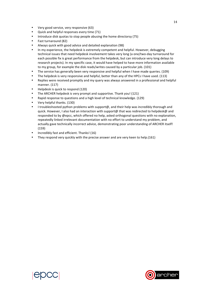- Very good service, very responsive (63)
- Quick and helpful responses every time (71)
- Introduce disk quotas to stop people abusing the home directorsy (75)
- Fast turnaround (82)
- Always quick with good advice and detailed explanation (98)
- In my experience, the helpdesk is extremely competent and helpful. However, debugging technical issues that need helpdesk involvement takes very long (a one/two-day turnaround for each possible fix is great performance from the helpdesk, but can introduce very long delays to research projects). In my specific case, it would have helped to have more information available to my group, for example the disk reads/writes caused by a particular job. (101)
- The service has generally been very responsive and helpful when I have made queries. (109)
- The helpdesk is very responsive and helpful, better than any of the HPCs I have used. (113)
- Replies were received promptly and my query was always answered in a professional and helpful manner. (117)
- Helpdesk is quick to respond (120)
- The ARCHER helpdesk is very prompt and supportive. Thank you! (121)
- Rapid response to questions and a high level of technical knowledge. (129)
- Very helpful thanks. (130)
- I troubleshooted python problems with support@, and their help was incredibly thorough and quick. However, I also had an interaction with support@ that was redirected to helpdesk@ and responded to by @epcc, which offered no help, asked orthogonal questions with no explanation, repeatedly linked irrelevant documentation with no effort to understand my problem, and actually gave technically incorrect advice, demonstrating poor understanding of ARCHER itself! (159)
- Incredibly fast and efficient. Thanks! (16)
- They respond very quickly with the precise answer and are very keen to help.(161)



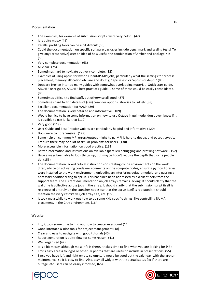#### **Documentation**

- The examples, for example of submission scripts, were very helpful (42)
- It is quite messy (44)
- Parallel profiling tools can be a bit difficult (50)
- Could the documentation on specific software packages include benchmark and scaling tests? To give any (prospective) user an idea of how useful the combination of Archer and package-X is. (55)
- Very complete documentation (63)
- All clear! (75)
- Sometimes hard to navigate but very complete. (82)
- Examples of using aprun for hybrid OpenMP-MPI jobs, particularly what the settings for process placement, memory allocation etc. are and do. E.g. "aprun -ss" vs "aprun -cc depth" (83)
- Docs are broken into too many guides with somewhat overlapping material. Quick start guide, ARCHER user guide, ARCHER best practices guide,... Some of these could be easily consolidated. (86)
- Sometimes difficult to find stuff, but otherwise all good. (87)
- Sometimes hard to find details of (say) compiler options, libraries to link etc (88)
- Excellent documentation for VASP. (89)
- The documentation is very detailed and informative. (109)
- Would be nice to have some information on how to use Octave in gui mode, don't even know if it is possible to use it like that  $(112)$
- Very good (119)
- User Guide and Best Practice Guides are particularly helpful and informative (120)
- Docs were comprehensive. (129)
- Some help on common MPI errors/output might help. MPI is hard to debug, and output cryptic. I'm sure there may be a lot of similar problems for users. (130)
- More accessible information on good practice. (131)
- Better information and instructions on available (parallel) debugging and profiling software. (152)
- Have always been able to look things up, but maybe I don't require the depth that some people do. (155)
- The documentation lacked critical instructions on creating conda environments on the work direc, advice on activating conda environments on the compute nodes, ensuring python libraries were installed to the work environment, unloading an interfering default module, and passing a necessary additional flag to aprun. This has since been addressed by excellent help from the support team. The current documentation on job arrays remains lacking. It should clarify that the walltime is collective across jobs in the array. It should clarify that the submission script itself is re-executed entirely on the launcher nodes (so that the aprun itself is repeated). It should mention the (very restrictive) job array size, etc. (159)
- It took me a while to work out how to do some KNL-specific things, like controlling NUMA placement, in the Cray environment. (164)

#### **Website**

- lirc, it took some time to find out how to create an account (14)
- Good interface & nice tools for project management (18)
- Clear and easy to navigate with good tutorials (40)
- Report generation is quite slow for some reason. (41)
- Well organised (42)
- It is a bit messy, although most info is there, it takes time to find what you are looking for (43)
- I miss easy access to logos or other PR photos that are useful to include in presentations. (55)
- Since you have left and right empty columns, it would be good put the calendar with the archer maintenance, so it is easy to find. Also, a small widget with the actual status (so if there are outage, etc users can be easily informed) (65)



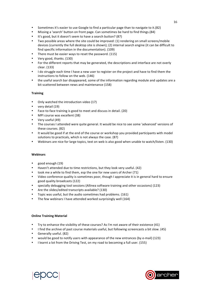- Sometimes it's easier to use Google to find a particular page than to navigate to it.(82)
- Missing a 'search' button on front page. Can sometimes be hard to find things.(84)
- It's good, but it doesn't seem to have a search button? (87)
- Two possible areas where the site could be improved: (1) rendering on small screens/mobile devices (currently the full desktop site is shown); (2) internal search engine (it can be difficult to find specific information in the documentation). (109)
- There must be easier ways to reset the password. (115)
- Very good, thanks. (130)
- For the different reports that may be generated, the descriptions and interface are not overly clear. (133)
- I do struggle each time I have a new user to register on the project and have to find them the instructions to follow on the web. (146)
- the useful search bar disappeared, some of the information regarding module and updates are a bit scattered between news and maintenance (158)

#### **Training**

- Only watched the introduction video (17)
- very detail (19)
- Face-to-face training is good to meet and discuss in detail. (20)
- MPI course was excellent (38)
- Very useful (49)
- The courses I attended were quite general. It would be nice to see some 'advanced' versions of these courses. (82)
- It would be good if at the end of the course or workshop you provided participants with model solutions to practicals, which is not always the case. (87)
- Webinars are nice for large topics, text on web is also good when unable to watch/listen. (130)

#### **Webinars**

- good enough (19)
- Haven't attended due to time restrictions, but they look very useful. (42)
- took me a while to find them, esp the one for new users of Archer (71)
- Video conference quality is sometimes poor, though I appreciate it is in general hard to ensure good quality broadcasts (122)
- specially debugging tool sessions (Allinea software training and other occasions) (123)
- Are the slides/edited transcripts available? (130)
- Topic was useful, but the audio sometimes had problems. (161)
- The few webinars I have attended worked surprisingly well  $(164)$

#### **Online Training Material**

- Try to enhance the visibility of these courses? As I'm not aware of their existence (41)
- I find the archive of past course materials useful, but following screencasts a bit slow. (45)
- Generally useful. (82)
- would be good to notify users with appearance of the new entrances (by e-mail) (123)
- I learnt a lot from the Driving Test, on my road to becoming a full user. (155)



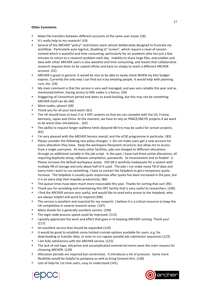#### **Other Comments**

- Make file-transfers between different accounts of the same user easier (18)
- It's really help to my research! (19)
- Several of the ARCHER "policy" restrictions seem almost deliberately designed to frustrate my workflow. Particularly auto log/out, disabling of "screen", which require a reset of session context which is wasteful and time consuming, particularly for an academic who has just a few minutes to return to a research problem each day. Inability to share large files, executables and data with other ARCHER users is also wasteful and time consuming, and means that collaborative research requires them to be copied offsite and back on simply to reach a different ARCHER account. (22)
- ARCHER is great in general. It would be nice to be able to easily check WHEN my kAU budget expires. Currently the only way I can find out is by emailing people. It would help with planning runs,  $etc. (24)$
- My main comment is that the service is very well managed, and was very reliable this year and as mentioned before, having access to KNL nodes is a bonus. (34)
- Staggering of Consortium period end dates to avoid backlog, but this may not be something ARCHER itself can do (40)
- More nodes, please! (49)
- Thank you for all your hard work!  $(61)$
- The UK should have at least 2 or 3 HPC systems so that we can compete with the US, France, Germany, Japan and China. At the moment, we have to rely on PRACE/INCITE projects if we want to do word-class simulations... (63)
- The ability to request longer walltime limits (beyond 48 hrs) may be useful for certain projects. (81)
- I'm very pleased with the ARCHER Service overall, and the eCSE programme in particular. (83)
- Please consider the following two policy changes: 1. Do not make users get a new account for every allocation they have. Keep the workspace filesystem structure, but allow me to access from a single username. At many other facilities, jobs are charged to different allocations through an additional variable in the job script. In the past, I have had three active allocations, all requiring duplicate setup, software compilation, passwords. So inconvenient and so fixable! 2. Please increase the default workspace quota. 250 GB is woefully inadequate for a system with multiple PB of storage and only about half of it used. The jobs I run make many TB of data and every time I want to run something, I have to contact the helpdesk to get a temporary quota increase. The helpdesk is usually quite responsive after quota has been increased in the past, but it is an extra step that impedes productivity. (86)
- The queue times have been much more reasonable this year. Thanks for sorting that out! (95)
- Thank you for providing and maintaining this HPC facility that is very useful to researchers. (100)
- I find the ARCHER service very useful, and would like to send extra praise to the helpdesk, who are always helpful and quick to respond (106)
- The service is excellent and essential for my research. I believe it is a critical resource to keep the UK competitive in several research areas. (107)
- Many thanks for a generally excellent service. (109)
- The login node process speed could be improved. (113)
- I greatly appreciate the work and effort that goes in to keeping ARCHER running. Thank you! (117)
- An excellent service that should be expanded (119)
- it would be good to establish some limited crontab options available for users, e.g. for downloading or transfer data, or even to run regular parallel job submission sequences (123)
- I am fully satisfactory with the ARCHER service. (125)
- The lack of red-tape, attractive and uncomplicated commercial terms were the main reasons for choosing ARCHER. (129)
- Allocation periods are required but constrictive. It introduces a lot of pressure. Some more flexibility would be helpful to postpone as well as bring forward AUs. (130)
- Lots of help for 1st time users, easy to understand (141)